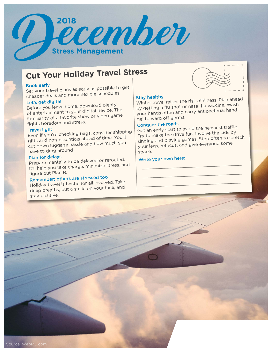

# **Cut Your Holiday Travel Stress**

## Book early

Set your travel plans as early as possible to get cheaper deals and more flexible schedules.

## Let's get digital

Before you leave home, download plenty of entertainment to your digital device. The familiarity of a favorite show or video game fights boredom and stress.

## Travel light

Even if you're checking bags, consider shipping gifts and non-essentials ahead of time. You'll cut down luggage hassle and how much you have to drag around.

### Plan for delays

Prepare mentally to be delayed or rerouted. It'll help you take charge, minimize stress, an<sup>d</sup> figure out Plan B.

## Remember: others are stressed too

Holiday travel is hectic for all involved. Take deep breaths, put a smile on your face, and stay positive.



Stay healthy Winter travel raises the risk of illness. Plan ahead by getting a flu shot or nasal flu vaccine. Wash your hands often and carry antibacterial hand gel to ward off germs.

## Conquer the roads

Get an early start to avoid the heaviest traffic. Try to make the drive fun. Involve the kids by singing and playing games. Stop often to stretch your legs, refocus, and give everyone some space.

## Write your own here: